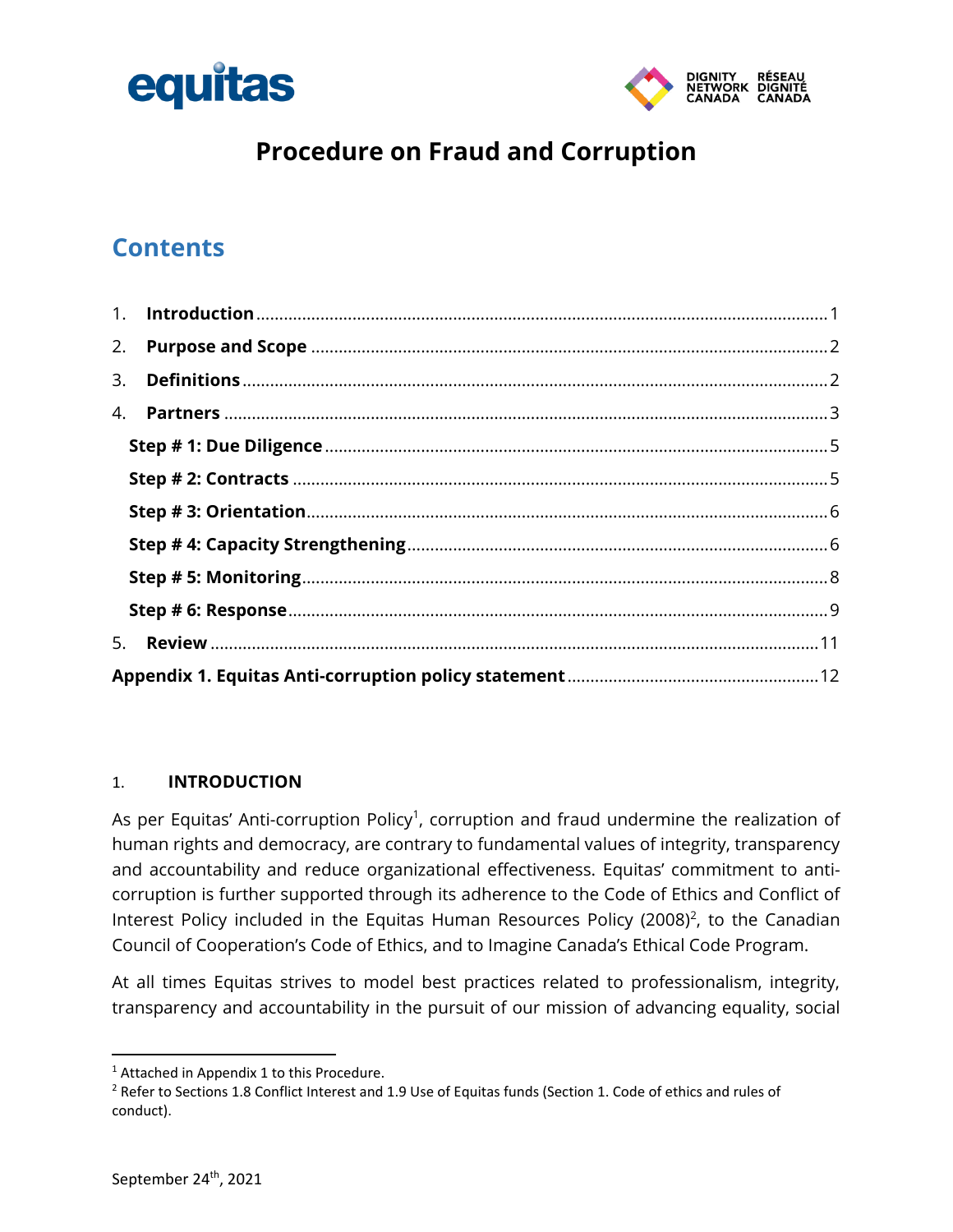



## **Procedure on Fraud and Corruption**

## **Contents**

| 2. |  |  |  |
|----|--|--|--|
| 3. |  |  |  |
|    |  |  |  |
|    |  |  |  |
|    |  |  |  |
|    |  |  |  |
|    |  |  |  |
|    |  |  |  |
|    |  |  |  |
| 5. |  |  |  |
|    |  |  |  |

#### <span id="page-0-0"></span>1. **INTRODUCTION**

As per Equitas' Anti-corruption Policy<sup>1</sup>, corruption and fraud undermine the realization of human rights and democracy, are contrary to fundamental values of integrity, transparency and accountability and reduce organizational effectiveness. Equitas' commitment to anticorruption is further supported through its adherence to the Code of Ethics and Conflict of Interest Policy included in the Equitas Human Resources Policy (2008)<sup>2</sup>, to the Canadian Council of Cooperation's Code of Ethics, and to Imagine Canada's Ethical Code Program.

At all times Equitas strives to model best practices related to professionalism, integrity, transparency and accountability in the pursuit of our mission of advancing equality, social

<sup>&</sup>lt;sup>1</sup> Attached in Appendix 1 to this Procedure.

<sup>&</sup>lt;sup>2</sup> Refer to Sections 1.8 Conflict Interest and 1.9 Use of Equitas funds (Section 1. Code of ethics and rules of conduct).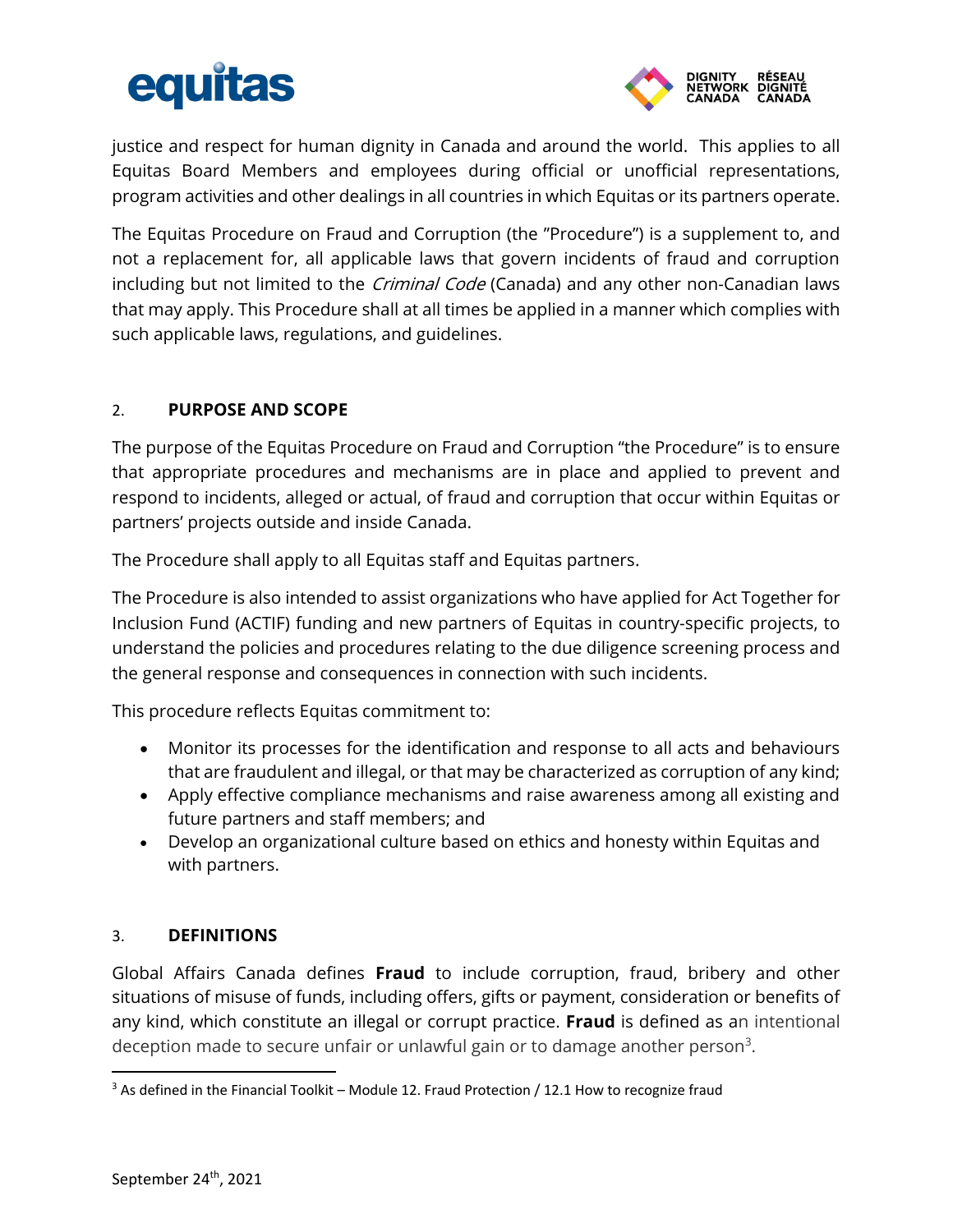# equitas



justice and respect for human dignity in Canada and around the world. This applies to all Equitas Board Members and employees during official or unofficial representations, program activities and other dealings in all countries in which Equitas or its partners operate.

The Equitas Procedure on Fraud and Corruption (the "Procedure") is a supplement to, and not a replacement for, all applicable laws that govern incidents of fraud and corruption including but not limited to the *Criminal Code* (Canada) and any other non-Canadian laws that may apply. This Procedure shall at all times be applied in a manner which complies with such applicable laws, regulations, and guidelines.

#### <span id="page-1-0"></span>2. **PURPOSE AND SCOPE**

The purpose of the Equitas Procedure on Fraud and Corruption "the Procedure" is to ensure that appropriate procedures and mechanisms are in place and applied to prevent and respond to incidents, alleged or actual, of fraud and corruption that occur within Equitas or partners' projects outside and inside Canada.

The Procedure shall apply to all Equitas staff and Equitas partners.

The Procedure is also intended to assist organizations who have applied for Act Together for Inclusion Fund (ACTIF) funding and new partners of Equitas in country-specific projects, to understand the policies and procedures relating to the due diligence screening process and the general response and consequences in connection with such incidents.

This procedure reflects Equitas commitment to:

- Monitor its processes for the identification and response to all acts and behaviours that are fraudulent and illegal, or that may be characterized as corruption of any kind;
- Apply effective compliance mechanisms and raise awareness among all existing and future partners and staff members; and
- Develop an organizational culture based on ethics and honesty within Equitas and with partners.

#### <span id="page-1-1"></span>3. **DEFINITIONS**

Global Affairs Canada defines **Fraud** to include corruption, fraud, bribery and other situations of misuse of funds, including offers, gifts or payment, consideration or benefits of any kind, which constitute an illegal or corrupt practice. **Fraud** is defined as an intentional deception made to secure unfair or unlawful gain or to damage another person $^3$ .

 $\overline{a}$ 

 $3$  As defined in the Financial Toolkit – Module 12. Fraud Protection / 12.1 How to recognize fraud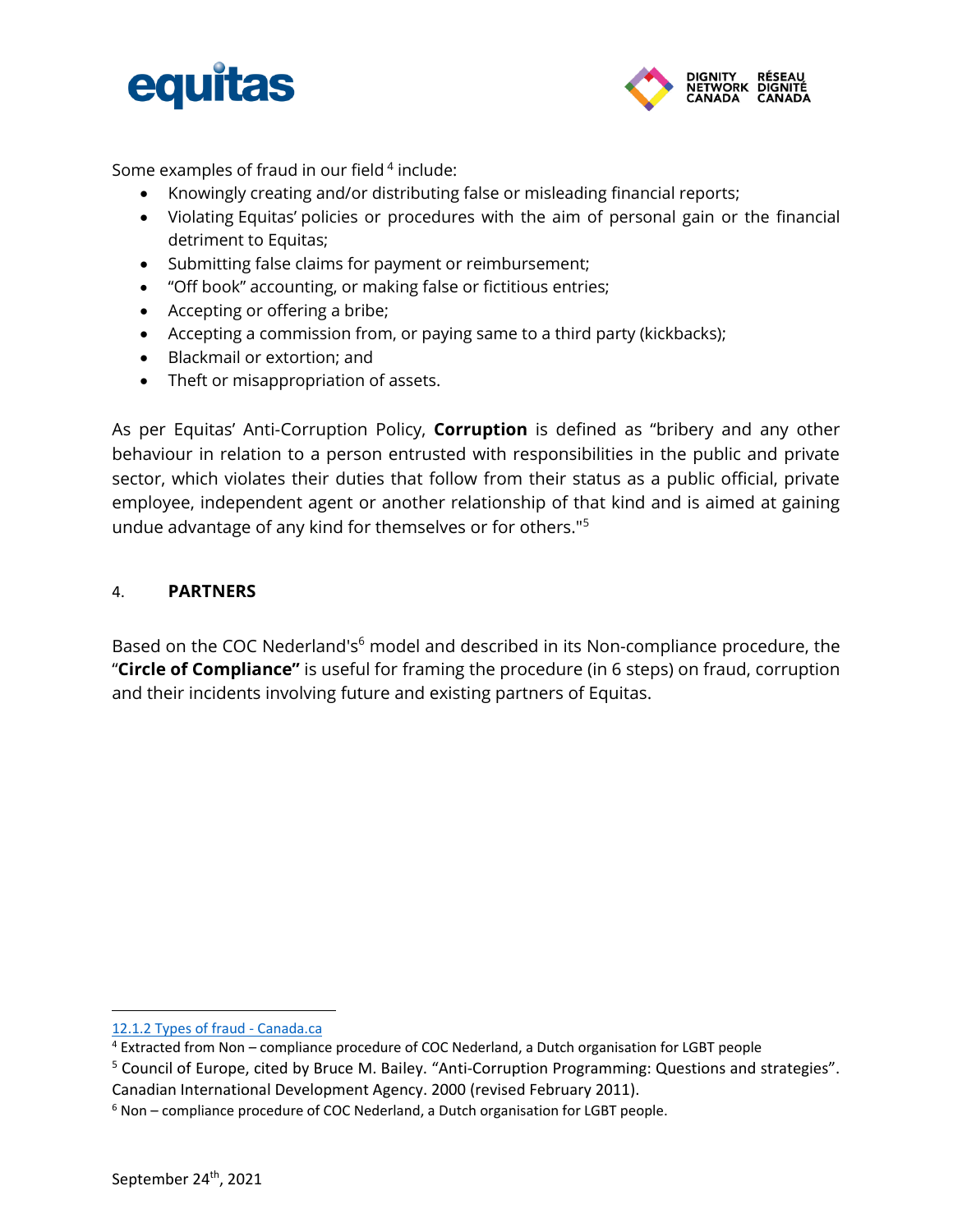



Some examples of fraud in our field<sup>4</sup> include:

- Knowingly creating and/or distributing false or misleading financial reports;
- Violating Equitas' policies or procedures with the aim of personal gain or the financial detriment to Equitas;
- Submitting false claims for payment or reimbursement;
- "Off book" accounting, or making false or fictitious entries;
- Accepting or offering a bribe;
- Accepting a commission from, or paying same to a third party (kickbacks);
- Blackmail or extortion; and
- Theft or misappropriation of assets.

As per Equitas' Anti-Corruption Policy, **Corruption** is defined as "bribery and any other behaviour in relation to a person entrusted with responsibilities in the public and private sector, which violates their duties that follow from their status as a public official, private employee, independent agent or another relationship of that kind and is aimed at gaining undue advantage of any kind for themselves or for others."<sup>5</sup>

#### <span id="page-2-0"></span>4. **PARTNERS**

Based on the COC Nederland's<sup>6</sup> model and described in its Non-compliance procedure, the "**Circle of Compliance"** is useful for framing the procedure (in 6 steps) on fraud, corruption and their incidents involving future and existing partners of Equitas.

[<sup>12.1.2</sup> Types of fraud -](https://www.canada.ca/en/financial-consumer-agency/services/financial-toolkit/fraud/fraud-1/3.html) Canada.ca

<sup>4</sup> Extracted from Non – compliance procedure of COC Nederland, a Dutch organisation for LGBT people

<sup>5</sup> Council of Europe, cited by Bruce M. Bailey. "Anti-Corruption Programming: Questions and strategies". Canadian International Development Agency. 2000 (revised February 2011).

<sup>6</sup> Non – compliance procedure of COC Nederland, a Dutch organisation for LGBT people.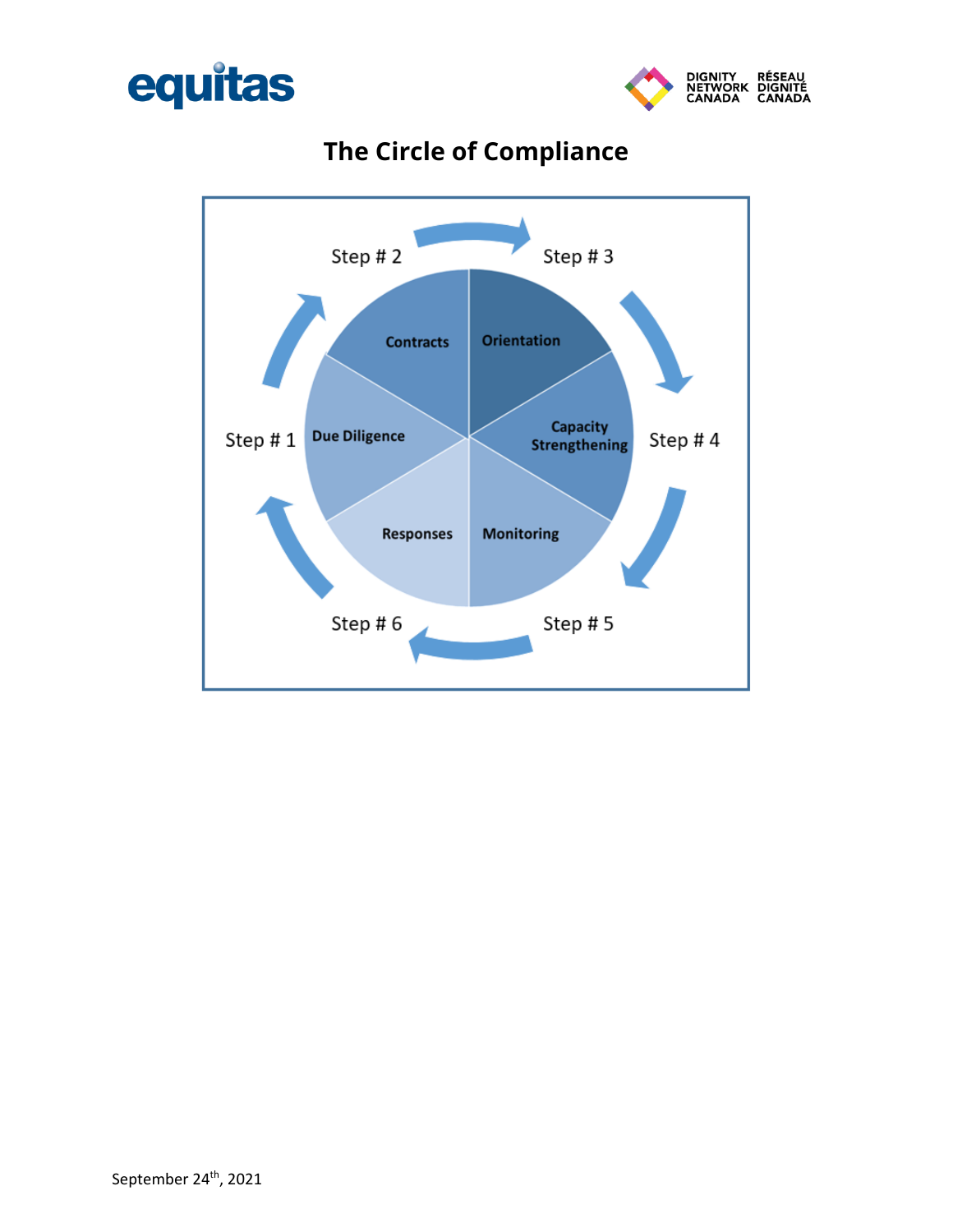



# **The Circle of Compliance**

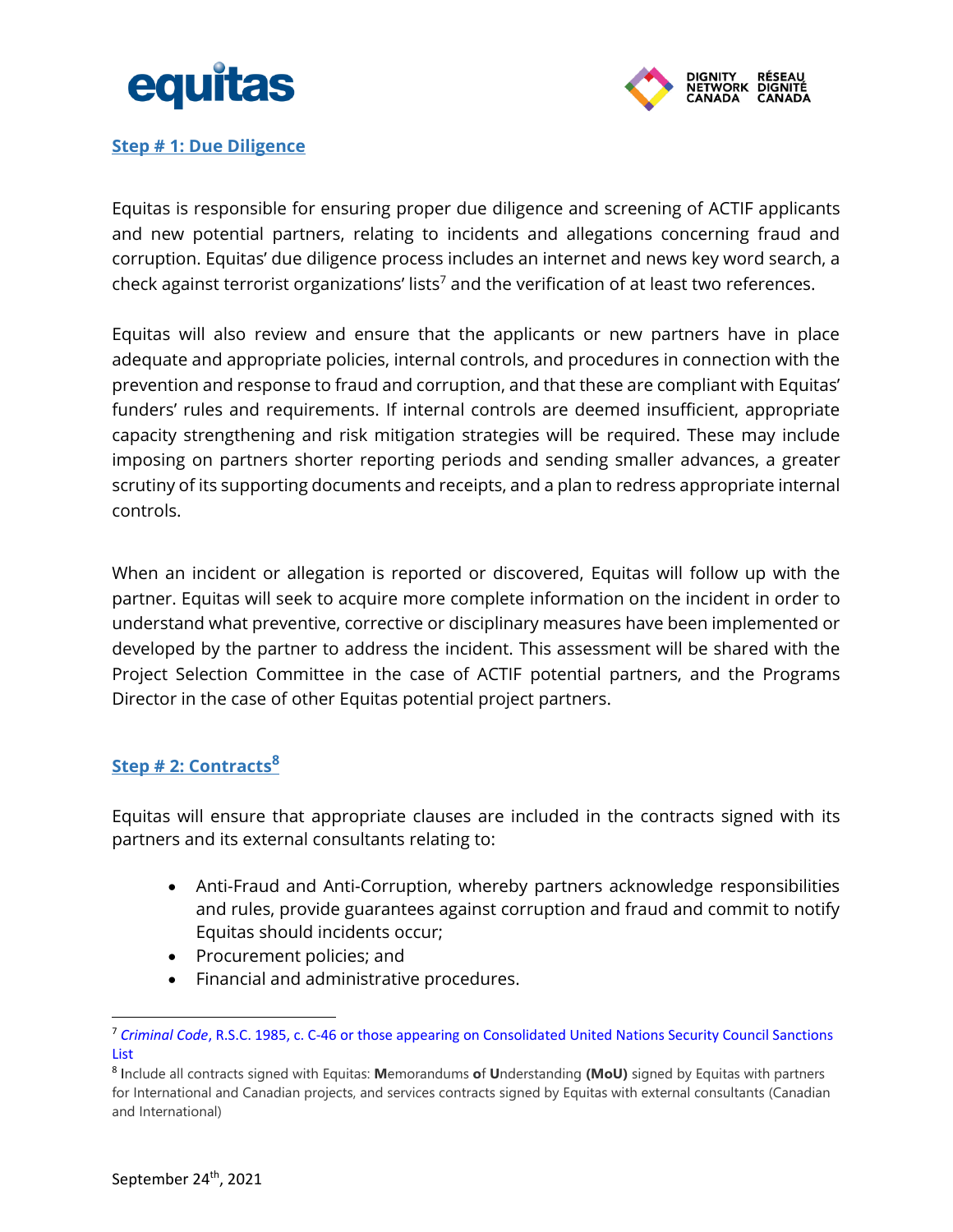



#### <span id="page-4-0"></span>**Step # 1: Due Diligence**

Equitas is responsible for ensuring proper due diligence and screening of ACTIF applicants and new potential partners, relating to incidents and allegations concerning fraud and corruption. Equitas' due diligence process includes an internet and news key word search, a check against terrorist organizations' lists<sup>7</sup> and the verification of at least two references.

Equitas will also review and ensure that the applicants or new partners have in place adequate and appropriate policies, internal controls, and procedures in connection with the prevention and response to fraud and corruption, and that these are compliant with Equitas' funders' rules and requirements. If internal controls are deemed insufficient, appropriate capacity strengthening and risk mitigation strategies will be required. These may include imposing on partners shorter reporting periods and sending smaller advances, a greater scrutiny of its supporting documents and receipts, and a plan to redress appropriate internal controls.

When an incident or allegation is reported or discovered, Equitas will follow up with the partner. Equitas will seek to acquire more complete information on the incident in order to understand what preventive, corrective or disciplinary measures have been implemented or developed by the partner to address the incident. This assessment will be shared with the Project Selection Committee in the case of ACTIF potential partners, and the Programs Director in the case of other Equitas potential project partners.

#### <span id="page-4-1"></span>**Step # 2: Contracts<sup>8</sup>**

Equitas will ensure that appropriate clauses are included in the contracts signed with its partners and its external consultants relating to:

- Anti-Fraud and Anti-Corruption, whereby partners acknowledge responsibilities and rules, provide guarantees against corruption and fraud and commit to notify Equitas should incidents occur;
- Procurement policies; and
- Financial and administrative procedures.

<sup>7</sup> *Criminal Code*, R.S.C. 1985, c. C-46 or those appearing on Consolidated United Nations Security Council Sanctions List

<sup>8</sup> Include all contracts signed with Equitas: **M**emorandums **o**f **U**nderstanding **(MoU)** signed by Equitas with partners for International and Canadian projects, and services contracts signed by Equitas with external consultants (Canadian and International)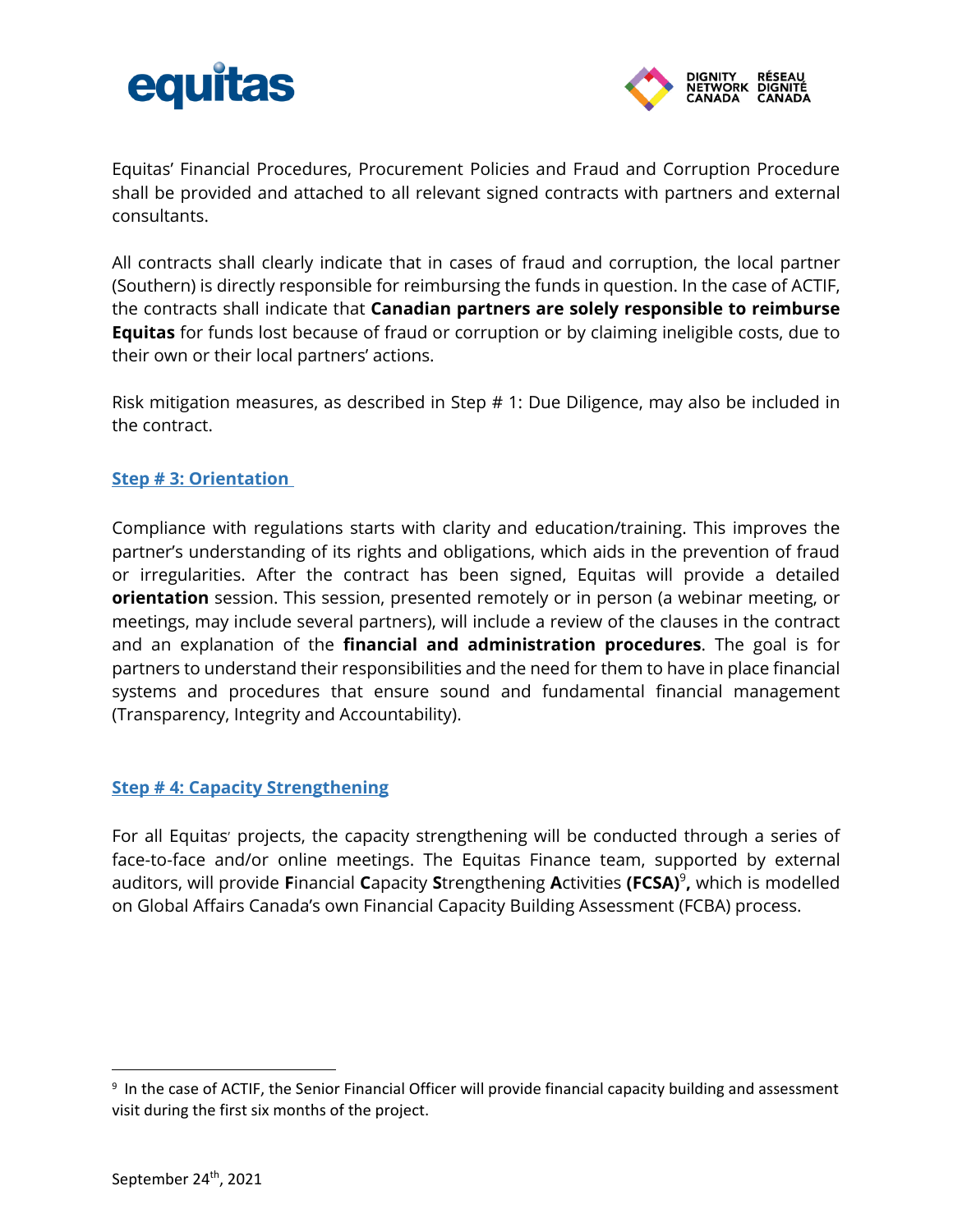



Equitas' Financial Procedures, Procurement Policies and Fraud and Corruption Procedure shall be provided and attached to all relevant signed contracts with partners and external consultants.

All contracts shall clearly indicate that in cases of fraud and corruption, the local partner (Southern) is directly responsible for reimbursing the funds in question. In the case of ACTIF, the contracts shall indicate that **Canadian partners are solely responsible to reimburse Equitas** for funds lost because of fraud or corruption or by claiming ineligible costs, due to their own or their local partners' actions.

Risk mitigation measures, as described in Step # 1: Due Diligence, may also be included in the contract.

#### <span id="page-5-0"></span>**Step # 3: Orientation**

Compliance with regulations starts with clarity and education/training. This improves the partner's understanding of its rights and obligations, which aids in the prevention of fraud or irregularities. After the contract has been signed, Equitas will provide a detailed **orientation** session. This session, presented remotely or in person (a webinar meeting, or meetings, may include several partners), will include a review of the clauses in the contract and an explanation of the **financial and administration procedures**. The goal is for partners to understand their responsibilities and the need for them to have in place financial systems and procedures that ensure sound and fundamental financial management (Transparency, Integrity and Accountability).

#### <span id="page-5-1"></span>**Step # 4: Capacity Strengthening**

For all Equitas' projects, the capacity strengthening will be conducted through a series of face-to-face and/or online meetings. The Equitas Finance team, supported by external auditors, will provide **F**inancial **C**apacity **S**trengthening **A**ctivities **(FCSA)**<sup>9</sup> **,** which is modelled on Global Affairs Canada's own Financial Capacity Building Assessment (FCBA) process.

<sup>9</sup> In the case of ACTIF, the Senior Financial Officer will provide financial capacity building and assessment visit during the first six months of the project.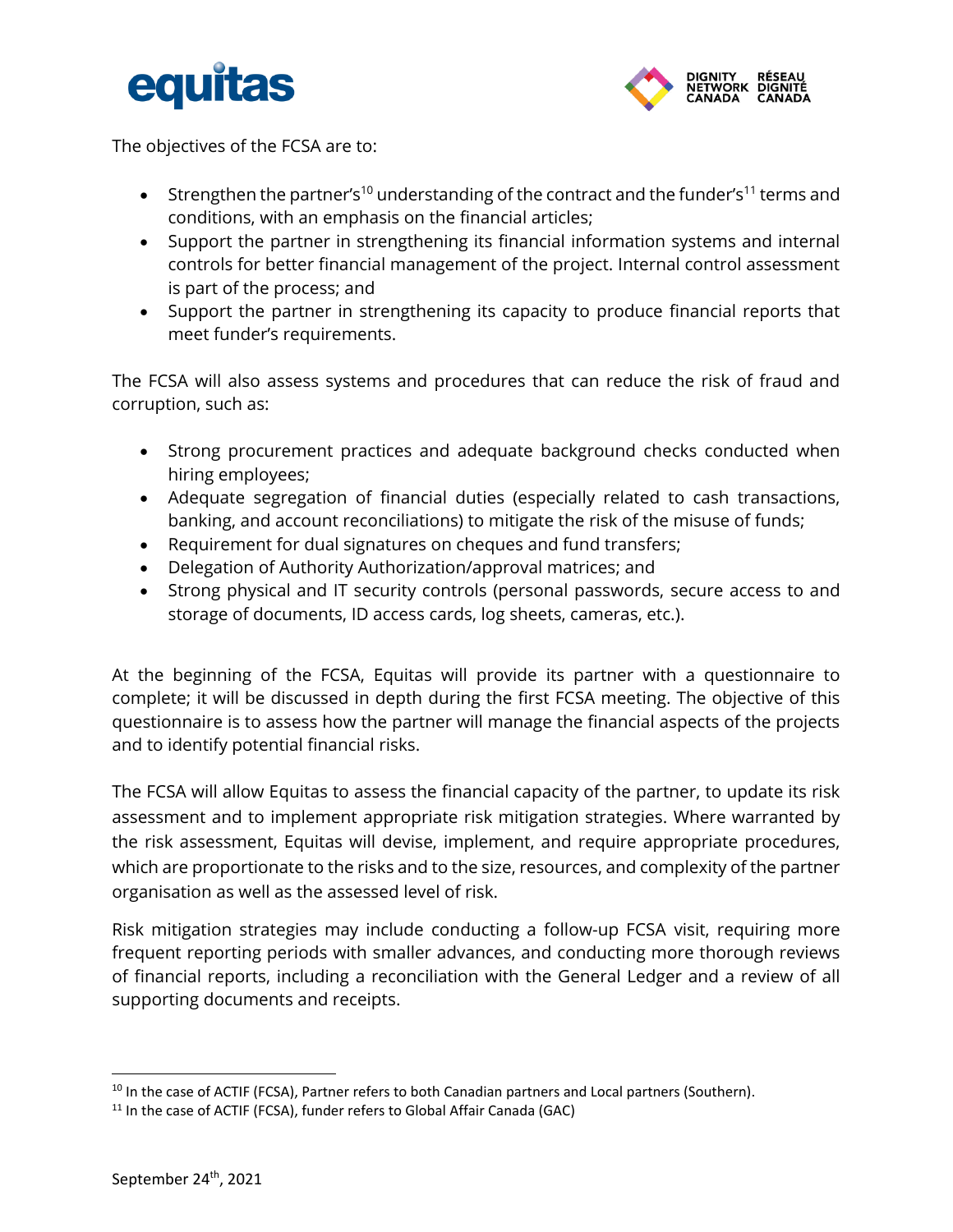



The objectives of the FCSA are to:

- Strengthen the partner's<sup>10</sup> understanding of the contract and the funder's<sup>11</sup> terms and conditions, with an emphasis on the financial articles;
- Support the partner in strengthening its financial information systems and internal controls for better financial management of the project. Internal control assessment is part of the process; and
- Support the partner in strengthening its capacity to produce financial reports that meet funder's requirements.

The FCSA will also assess systems and procedures that can reduce the risk of fraud and corruption, such as:

- Strong procurement practices and adequate background checks conducted when hiring employees;
- Adequate segregation of financial duties (especially related to cash transactions, banking, and account reconciliations) to mitigate the risk of the misuse of funds;
- Requirement for dual signatures on cheques and fund transfers;
- Delegation of Authority Authorization/approval matrices; and
- Strong physical and IT security controls (personal passwords, secure access to and storage of documents, ID access cards, log sheets, cameras, etc.).

At the beginning of the FCSA, Equitas will provide its partner with a questionnaire to complete; it will be discussed in depth during the first FCSA meeting. The objective of this questionnaire is to assess how the partner will manage the financial aspects of the projects and to identify potential financial risks.

The FCSA will allow Equitas to assess the financial capacity of the partner, to update its risk assessment and to implement appropriate risk mitigation strategies. Where warranted by the risk assessment, Equitas will devise, implement, and require appropriate procedures, which are proportionate to the risks and to the size, resources, and complexity of the partner organisation as well as the assessed level of risk.

Risk mitigation strategies may include conducting a follow-up FCSA visit, requiring more frequent reporting periods with smaller advances, and conducting more thorough reviews of financial reports, including a reconciliation with the General Ledger and a review of all supporting documents and receipts.

<sup>&</sup>lt;sup>10</sup> In the case of ACTIF (FCSA), Partner refers to both Canadian partners and Local partners (Southern).

<sup>&</sup>lt;sup>11</sup> In the case of ACTIF (FCSA), funder refers to Global Affair Canada (GAC)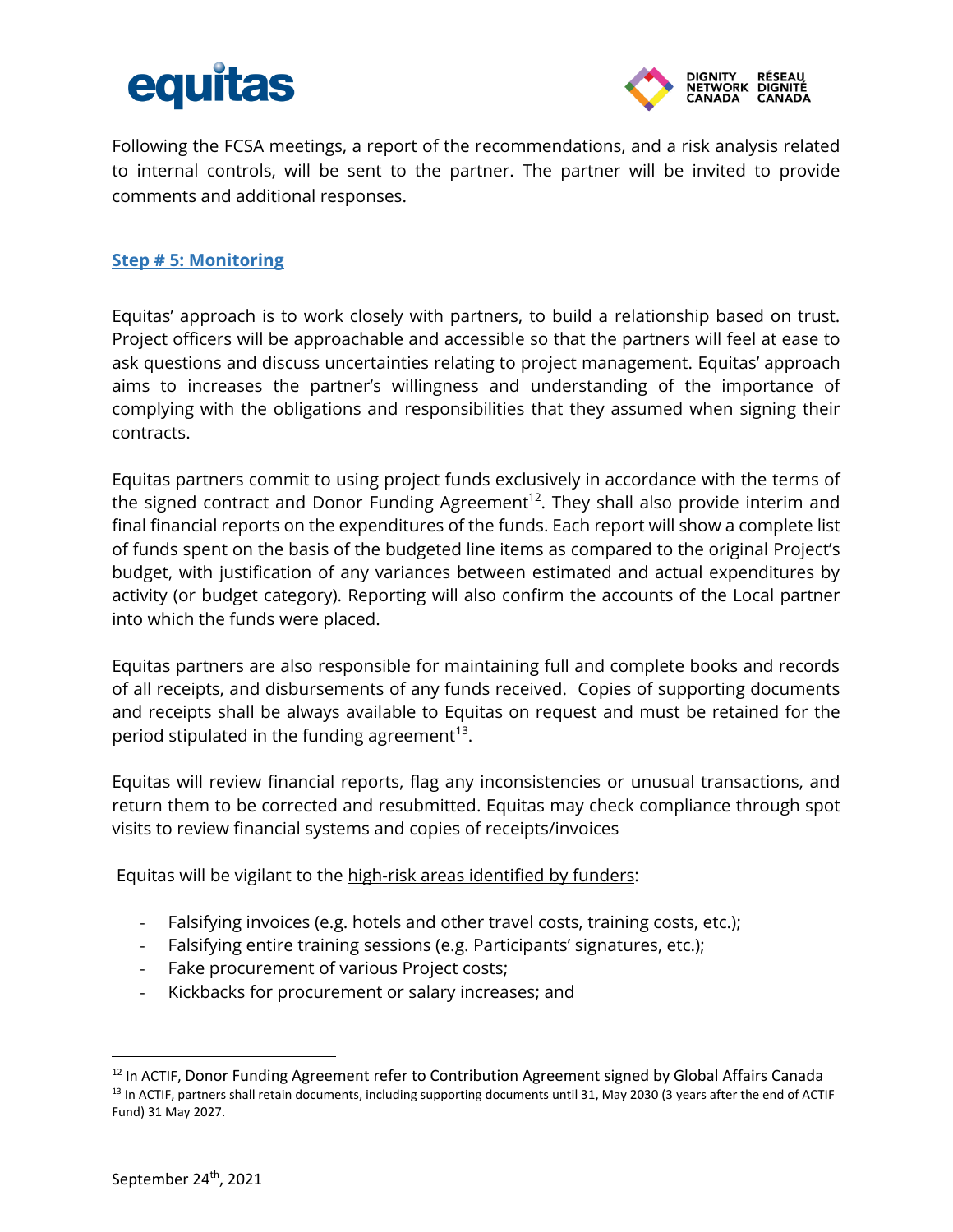



Following the FCSA meetings, a report of the recommendations, and a risk analysis related to internal controls, will be sent to the partner. The partner will be invited to provide comments and additional responses.

#### <span id="page-7-0"></span>**Step # 5: Monitoring**

Equitas' approach is to work closely with partners, to build a relationship based on trust. Project officers will be approachable and accessible so that the partners will feel at ease to ask questions and discuss uncertainties relating to project management. Equitas' approach aims to increases the partner's willingness and understanding of the importance of complying with the obligations and responsibilities that they assumed when signing their contracts.

Equitas partners commit to using project funds exclusively in accordance with the terms of the signed contract and Donor Funding Agreement<sup>12</sup>. They shall also provide interim and final financial reports on the expenditures of the funds. Each report will show a complete list of funds spent on the basis of the budgeted line items as compared to the original Project's budget, with justification of any variances between estimated and actual expenditures by activity (or budget category). Reporting will also confirm the accounts of the Local partner into which the funds were placed.

Equitas partners are also responsible for maintaining full and complete books and records of all receipts, and disbursements of any funds received. Copies of supporting documents and receipts shall be always available to Equitas on request and must be retained for the period stipulated in the funding agreement<sup>13</sup>.

Equitas will review financial reports, flag any inconsistencies or unusual transactions, and return them to be corrected and resubmitted. Equitas may check compliance through spot visits to review financial systems and copies of receipts/invoices

Equitas will be vigilant to the high-risk areas identified by funders:

- Falsifying invoices (e.g. hotels and other travel costs, training costs, etc.);
- Falsifying entire training sessions (e.g. Participants' signatures, etc.);
- Fake procurement of various Project costs;
- Kickbacks for procurement or salary increases; and

 $\overline{a}$ 

<sup>&</sup>lt;sup>12</sup> In ACTIF, Donor Funding Agreement refer to Contribution Agreement signed by Global Affairs Canada <sup>13</sup> In ACTIF, partners shall retain documents, including supporting documents until 31, May 2030 (3 years after the end of ACTIF Fund) 31 May 2027.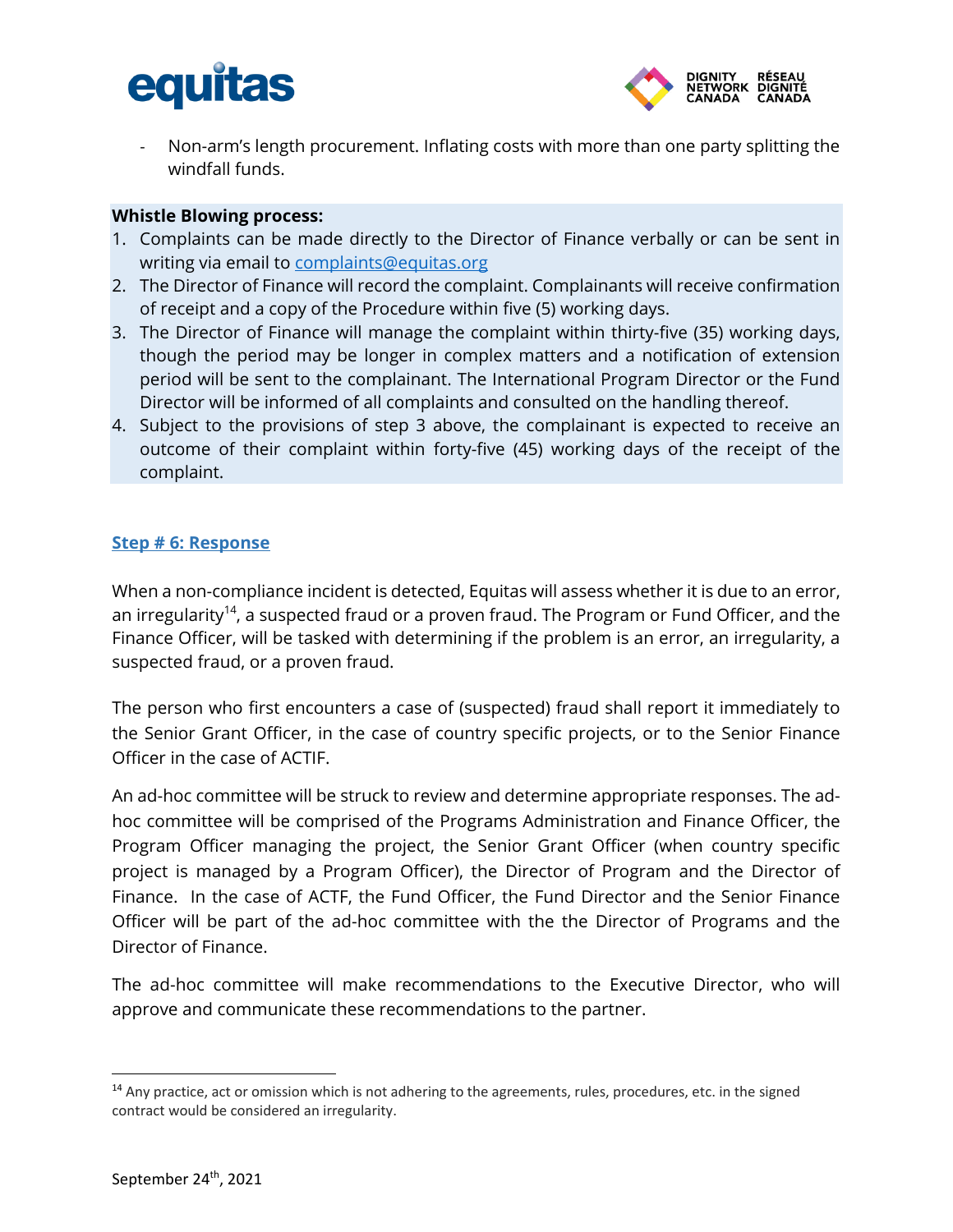



Non-arm's length procurement. Inflating costs with more than one party splitting the windfall funds.

#### **Whistle Blowing process:**

- 1. Complaints can be made directly to the Director of Finance verbally or can be sent in writing via email to [complaints@equitas.org](mailto:complaints@equitas.org)
- 2. The Director of Finance will record the complaint. Complainants will receive confirmation of receipt and a copy of the Procedure within five (5) working days.
- 3. The Director of Finance will manage the complaint within thirty-five (35) working days, though the period may be longer in complex matters and a notification of extension period will be sent to the complainant. The International Program Director or the Fund Director will be informed of all complaints and consulted on the handling thereof.
- 4. Subject to the provisions of step 3 above, the complainant is expected to receive an outcome of their complaint within forty-five (45) working days of the receipt of the complaint.

#### <span id="page-8-0"></span>**Step # 6: Response**

When a non-compliance incident is detected, Equitas will assess whether it is due to an error, an irregularity<sup>14</sup>, a suspected fraud or a proven fraud. The Program or Fund Officer, and the Finance Officer, will be tasked with determining if the problem is an error, an irregularity, a suspected fraud, or a proven fraud.

The person who first encounters a case of (suspected) fraud shall report it immediately to the Senior Grant Officer, in the case of country specific projects, or to the Senior Finance Officer in the case of ACTIF.

An ad-hoc committee will be struck to review and determine appropriate responses. The adhoc committee will be comprised of the Programs Administration and Finance Officer, the Program Officer managing the project, the Senior Grant Officer (when country specific project is managed by a Program Officer), the Director of Program and the Director of Finance. In the case of ACTF, the Fund Officer, the Fund Director and the Senior Finance Officer will be part of the ad-hoc committee with the the Director of Programs and the Director of Finance.

The ad-hoc committee will make recommendations to the Executive Director, who will approve and communicate these recommendations to the partner.

<sup>&</sup>lt;sup>14</sup> Any practice, act or omission which is not adhering to the agreements, rules, procedures, etc. in the signed contract would be considered an irregularity.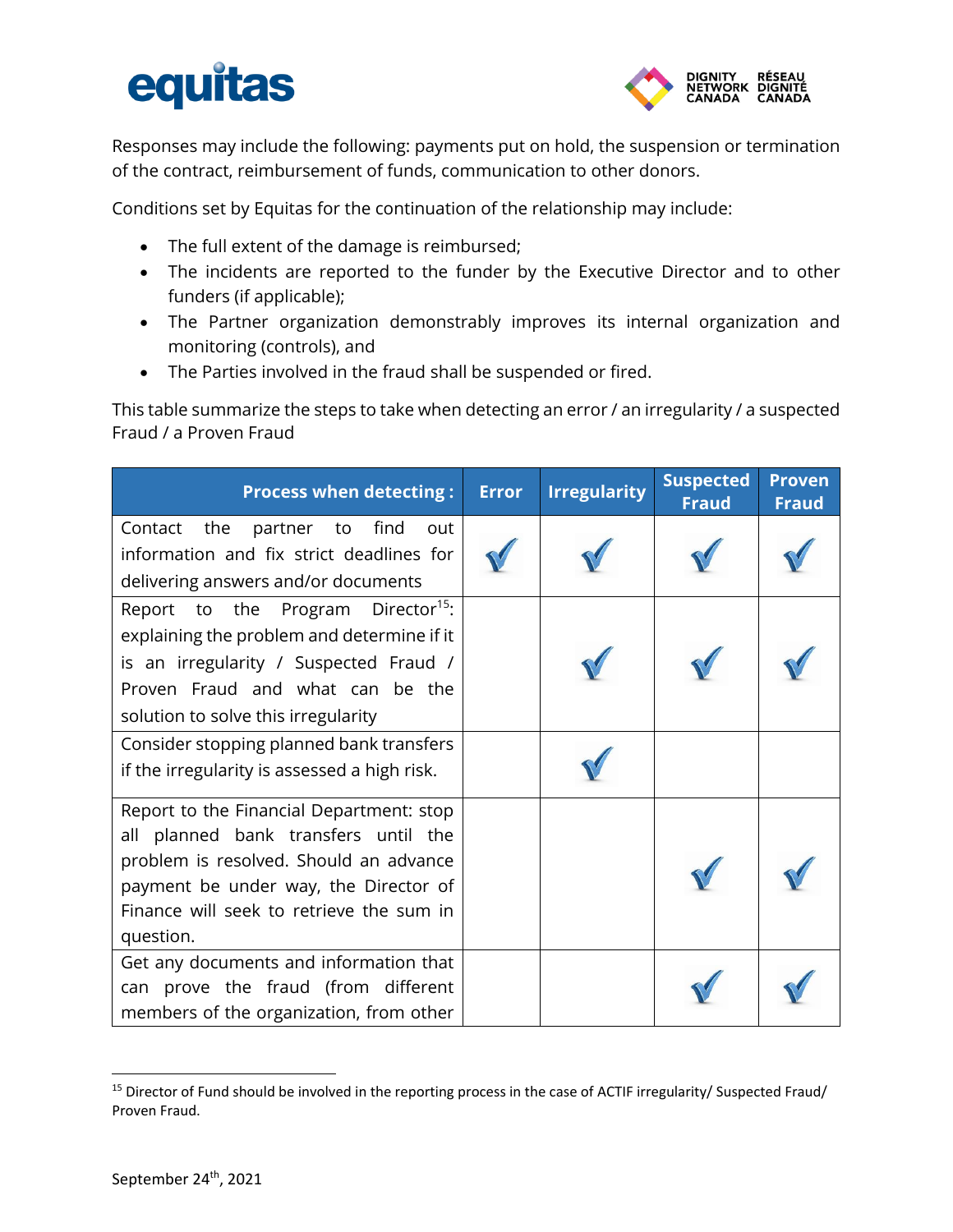# equitas



Responses may include the following: payments put on hold, the suspension or termination of the contract, reimbursement of funds, communication to other donors.

Conditions set by Equitas for the continuation of the relationship may include:

- The full extent of the damage is reimbursed;
- The incidents are reported to the funder by the Executive Director and to other funders (if applicable);
- The Partner organization demonstrably improves its internal organization and monitoring (controls), and
- The Parties involved in the fraud shall be suspended or fired.

This table summarize the steps to take when detecting an error / an irregularity / a suspected Fraud / a Proven Fraud

| <b>Process when detecting:</b>                                                                                                                                                                                               | <b>Error</b> | <b>Irregularity</b> | <b>Suspected</b><br><b>Fraud</b> | <b>Proven</b><br><b>Fraud</b> |
|------------------------------------------------------------------------------------------------------------------------------------------------------------------------------------------------------------------------------|--------------|---------------------|----------------------------------|-------------------------------|
| find<br>the<br>Contact<br>partner<br>to<br>out<br>information and fix strict deadlines for<br>delivering answers and/or documents                                                                                            |              |                     |                                  |                               |
| Report to the Program Director <sup>15</sup> :<br>explaining the problem and determine if it<br>is an irregularity / Suspected Fraud /<br>Proven Fraud and what can be the<br>solution to solve this irregularity            |              |                     |                                  |                               |
| Consider stopping planned bank transfers<br>if the irregularity is assessed a high risk.                                                                                                                                     |              |                     |                                  |                               |
| Report to the Financial Department: stop<br>all planned bank transfers until the<br>problem is resolved. Should an advance<br>payment be under way, the Director of<br>Finance will seek to retrieve the sum in<br>question. |              |                     |                                  |                               |
| Get any documents and information that<br>can prove the fraud (from different<br>members of the organization, from other                                                                                                     |              |                     |                                  |                               |

<sup>&</sup>lt;sup>15</sup> Director of Fund should be involved in the reporting process in the case of ACTIF irregularity/ Suspected Fraud/ Proven Fraud.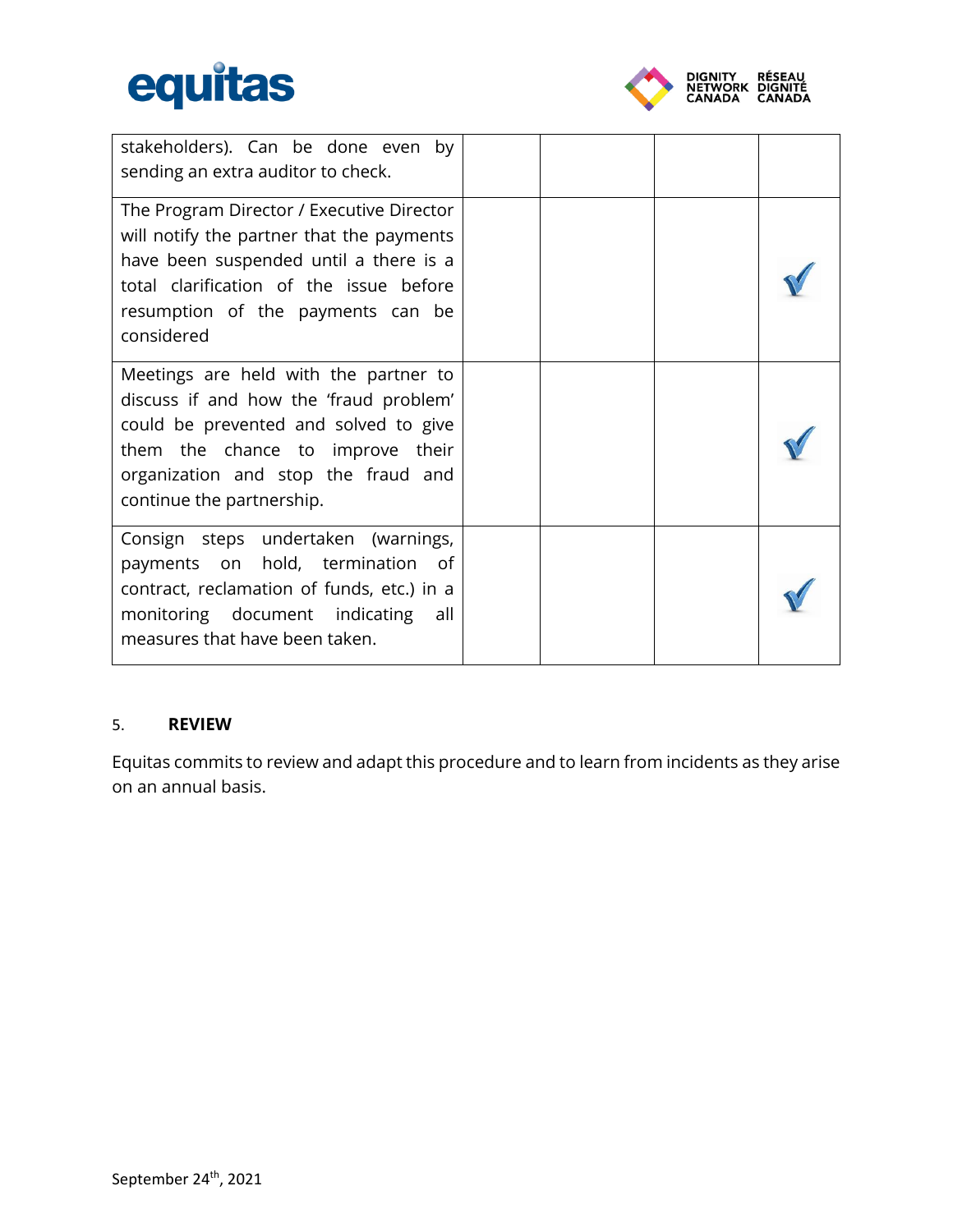



| stakeholders). Can be done even by<br>sending an extra auditor to check.                                                                                                                                                         |  |  |
|----------------------------------------------------------------------------------------------------------------------------------------------------------------------------------------------------------------------------------|--|--|
| The Program Director / Executive Director<br>will notify the partner that the payments<br>have been suspended until a there is a<br>total clarification of the issue before<br>resumption of the payments can be<br>considered   |  |  |
| Meetings are held with the partner to<br>discuss if and how the 'fraud problem'<br>could be prevented and solved to give<br>them the chance to improve their<br>organization and stop the fraud and<br>continue the partnership. |  |  |
| Consign steps undertaken (warnings,<br>payments on hold, termination of<br>contract, reclamation of funds, etc.) in a<br>monitoring document indicating all<br>measures that have been taken.                                    |  |  |

#### <span id="page-10-0"></span>5. **REVIEW**

Equitas commits to review and adapt this procedure and to learn from incidents as they arise on an annual basis.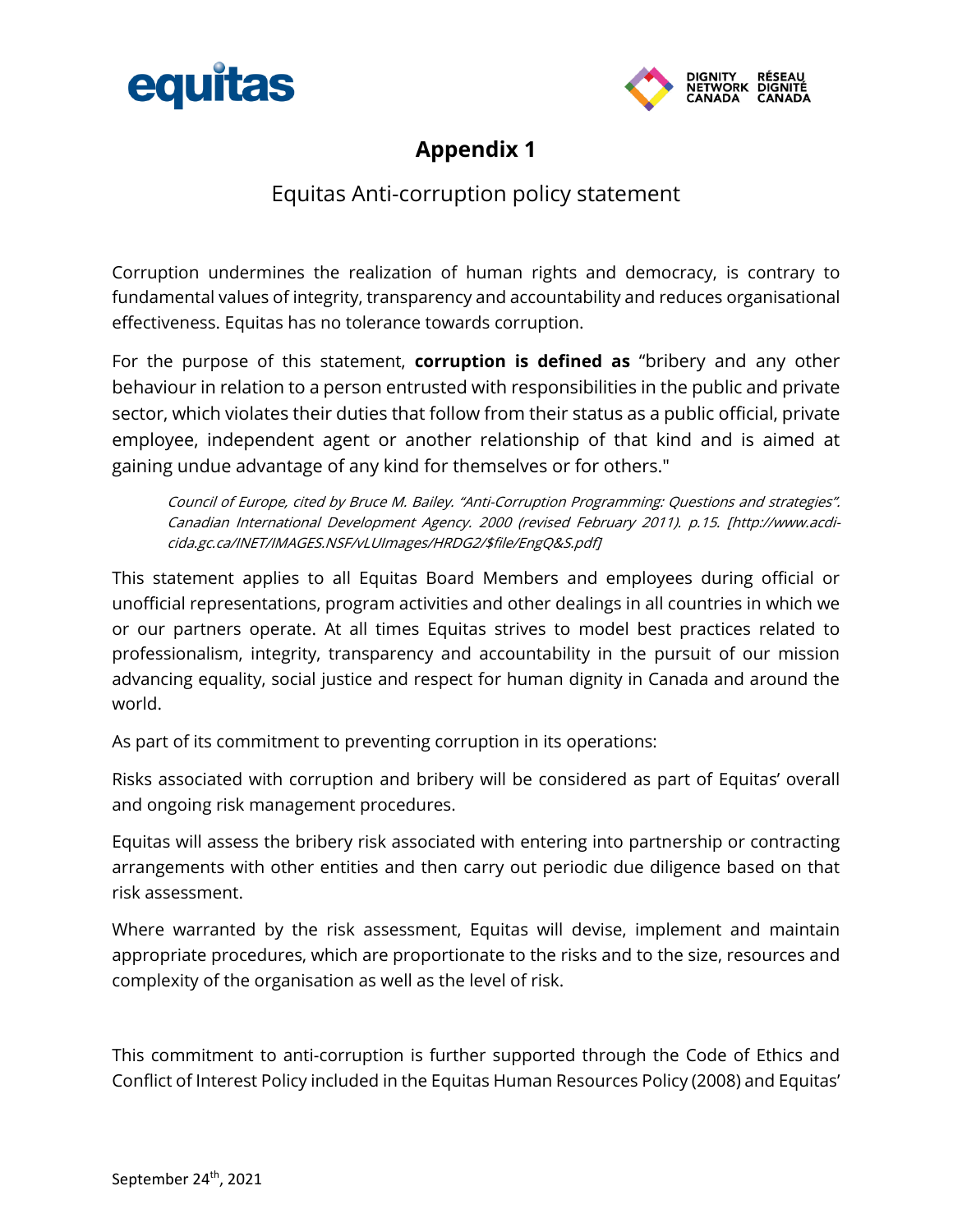<span id="page-11-0"></span>



### **Appendix 1**

### Equitas Anti-corruption policy statement

Corruption undermines the realization of human rights and democracy, is contrary to fundamental values of integrity, transparency and accountability and reduces organisational effectiveness. Equitas has no tolerance towards corruption.

For the purpose of this statement, **corruption is defined as** "bribery and any other behaviour in relation to a person entrusted with responsibilities in the public and private sector, which violates their duties that follow from their status as a public official, private employee, independent agent or another relationship of that kind and is aimed at gaining undue advantage of any kind for themselves or for others."

Council of Europe, cited by Bruce M. Bailey. "Anti-Corruption Programming: Questions and strategies". Canadian International Development Agency. 2000 (revised February 2011). p.15. [http://www.acdicida.gc.ca/INET/IMAGES.NSF/vLUImages/HRDG2/\$file/EngQ&S.pdf]

This statement applies to all Equitas Board Members and employees during official or unofficial representations, program activities and other dealings in all countries in which we or our partners operate. At all times Equitas strives to model best practices related to professionalism, integrity, transparency and accountability in the pursuit of our mission advancing equality, social justice and respect for human dignity in Canada and around the world.

As part of its commitment to preventing corruption in its operations:

Risks associated with corruption and bribery will be considered as part of Equitas' overall and ongoing risk management procedures.

Equitas will assess the bribery risk associated with entering into partnership or contracting arrangements with other entities and then carry out periodic due diligence based on that risk assessment.

Where warranted by the risk assessment, Equitas will devise, implement and maintain appropriate procedures, which are proportionate to the risks and to the size, resources and complexity of the organisation as well as the level of risk.

This commitment to anti-corruption is further supported through the Code of Ethics and Conflict of Interest Policy included in the Equitas Human Resources Policy (2008) and Equitas'